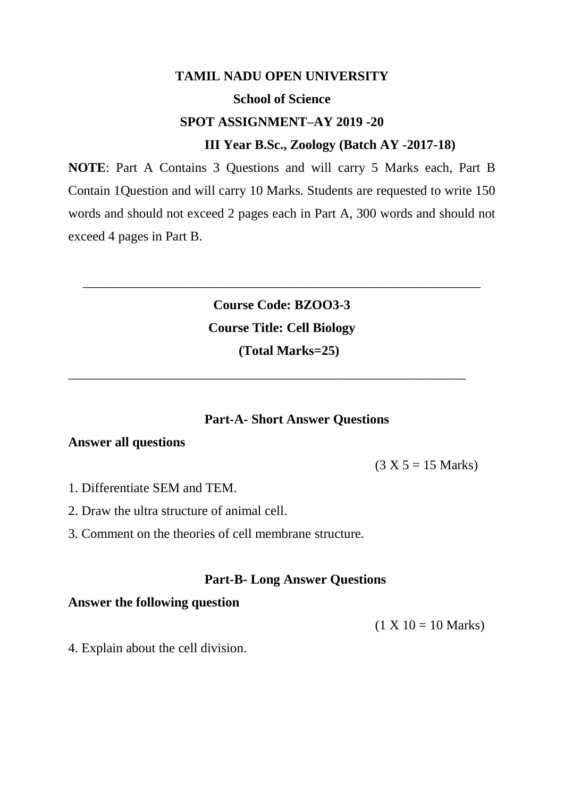### **TAMIL NADU OPEN UNIVERSITY**

### **School of Science**

## **SPOT ASSIGNMENT–AY 2019 -20**

### **III Year B.Sc., Zoology (Batch AY -2017-18)**

**NOTE**: Part A Contains 3 Questions and will carry 5 Marks each, Part B Contain 1Question and will carry 10 Marks. Students are requested to write 150 words and should not exceed 2 pages each in Part A, 300 words and should not exceed 4 pages in Part B.

> **Course Code: BZOO3-3 Course Title: Cell Biology (Total Marks=25)**

\_\_\_\_\_\_\_\_\_\_\_\_\_\_\_\_\_\_\_\_\_\_\_\_\_\_\_\_\_\_\_\_\_\_\_\_\_\_\_\_\_\_\_\_\_\_\_\_\_\_\_\_\_\_\_\_\_\_\_\_

\_\_\_\_\_\_\_\_\_\_\_\_\_\_\_\_\_\_\_\_\_\_\_\_\_\_\_\_\_\_\_\_\_\_\_\_\_\_\_\_\_\_\_\_\_\_\_\_\_\_\_\_\_\_\_\_\_\_\_\_

#### **Part-A- Short Answer Questions**

### **Answer all questions**

 $(3 X 5 = 15 Marks)$ 

- 1. Differentiate SEM and TEM.
- 2. Draw the ultra structure of animal cell.
- 3. Comment on the theories of cell membrane structure*.*

### **Part-B- Long Answer Questions**

### **Answer the following question**

 $(1 X 10 = 10 Marks)$ 

4. Explain about the cell division.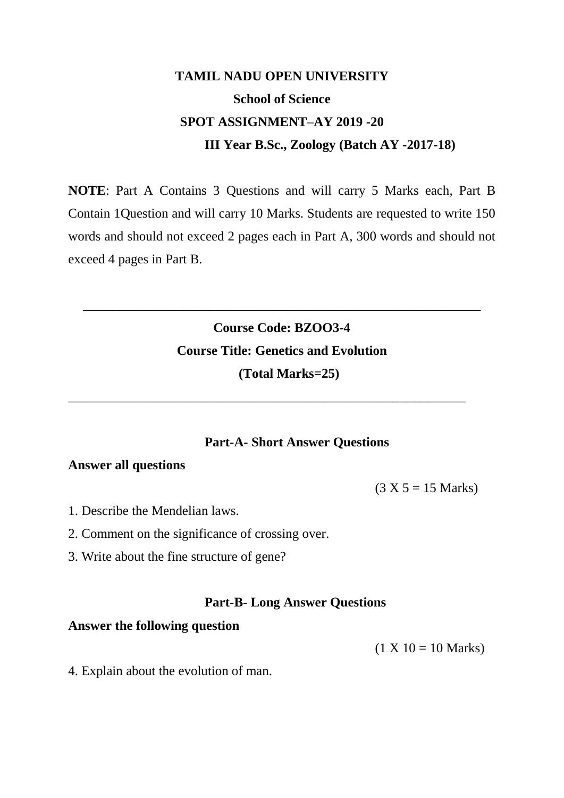**NOTE**: Part A Contains 3 Questions and will carry 5 Marks each, Part B Contain 1Question and will carry 10 Marks. Students are requested to write 150 words and should not exceed 2 pages each in Part A, 300 words and should not exceed 4 pages in Part B.

# **Course Code: BZOO3-4 Course Title: Genetics and Evolution (Total Marks=25)**

\_\_\_\_\_\_\_\_\_\_\_\_\_\_\_\_\_\_\_\_\_\_\_\_\_\_\_\_\_\_\_\_\_\_\_\_\_\_\_\_\_\_\_\_\_\_\_\_\_\_\_\_\_\_\_\_\_\_\_\_

\_\_\_\_\_\_\_\_\_\_\_\_\_\_\_\_\_\_\_\_\_\_\_\_\_\_\_\_\_\_\_\_\_\_\_\_\_\_\_\_\_\_\_\_\_\_\_\_\_\_\_\_\_\_\_\_\_\_\_\_

## **Part-A- Short Answer Questions**

## **Answer all questions**

 $(3 X 5 = 15 Marks)$ 

- 1. Describe the Mendelian laws.
- 2. Comment on the significance of crossing over.
- 3. Write about the fine structure of gene?

#### **Part-B- Long Answer Questions**

#### **Answer the following question**

 $(1 X 10 = 10 Marks)$ 

4. Explain about the evolution of man.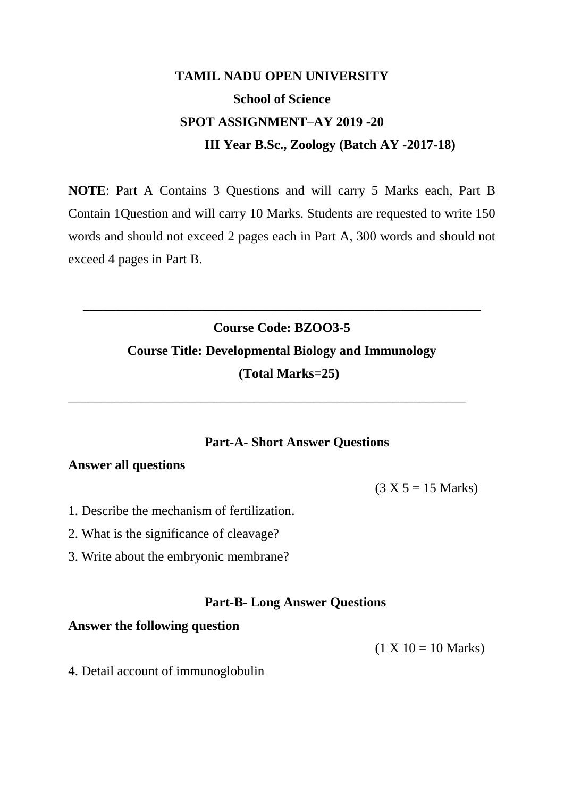**NOTE**: Part A Contains 3 Questions and will carry 5 Marks each, Part B Contain 1Question and will carry 10 Marks. Students are requested to write 150 words and should not exceed 2 pages each in Part A, 300 words and should not exceed 4 pages in Part B.

# **Course Code: BZOO3-5 Course Title: Developmental Biology and Immunology (Total Marks=25)**

\_\_\_\_\_\_\_\_\_\_\_\_\_\_\_\_\_\_\_\_\_\_\_\_\_\_\_\_\_\_\_\_\_\_\_\_\_\_\_\_\_\_\_\_\_\_\_\_\_\_\_\_\_\_\_\_\_\_\_\_

\_\_\_\_\_\_\_\_\_\_\_\_\_\_\_\_\_\_\_\_\_\_\_\_\_\_\_\_\_\_\_\_\_\_\_\_\_\_\_\_\_\_\_\_\_\_\_\_\_\_\_\_\_\_\_\_\_\_\_\_

## **Part-A- Short Answer Questions**

## **Answer all questions**

 $(3 X 5 = 15 Marks)$ 

- 1. Describe the mechanism of fertilization.
- 2. What is the significance of cleavage?
- 3. Write about the embryonic membrane?

#### **Part-B- Long Answer Questions**

#### **Answer the following question**

 $(1 X 10 = 10 Marks)$ 

4. Detail account of immunoglobulin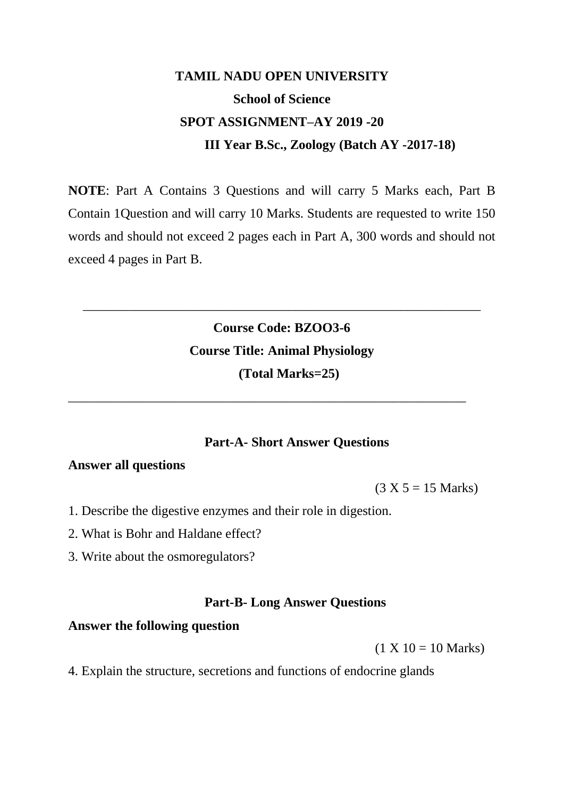**NOTE**: Part A Contains 3 Questions and will carry 5 Marks each, Part B Contain 1Question and will carry 10 Marks. Students are requested to write 150 words and should not exceed 2 pages each in Part A, 300 words and should not exceed 4 pages in Part B.

# **Course Code: BZOO3-6 Course Title: Animal Physiology (Total Marks=25)**

\_\_\_\_\_\_\_\_\_\_\_\_\_\_\_\_\_\_\_\_\_\_\_\_\_\_\_\_\_\_\_\_\_\_\_\_\_\_\_\_\_\_\_\_\_\_\_\_\_\_\_\_\_\_\_\_\_\_\_\_

\_\_\_\_\_\_\_\_\_\_\_\_\_\_\_\_\_\_\_\_\_\_\_\_\_\_\_\_\_\_\_\_\_\_\_\_\_\_\_\_\_\_\_\_\_\_\_\_\_\_\_\_\_\_\_\_\_\_\_\_

### **Part-A- Short Answer Questions**

## **Answer all questions**

 $(3 X 5 = 15 Marks)$ 

- 1. Describe the digestive enzymes and their role in digestion.
- 2. What is Bohr and Haldane effect?
- 3. Write about the osmoregulators?

### **Part-B- Long Answer Questions**

#### **Answer the following question**

 $(1 X 10 = 10 Marks)$ 

4. Explain the structure, secretions and functions of endocrine glands